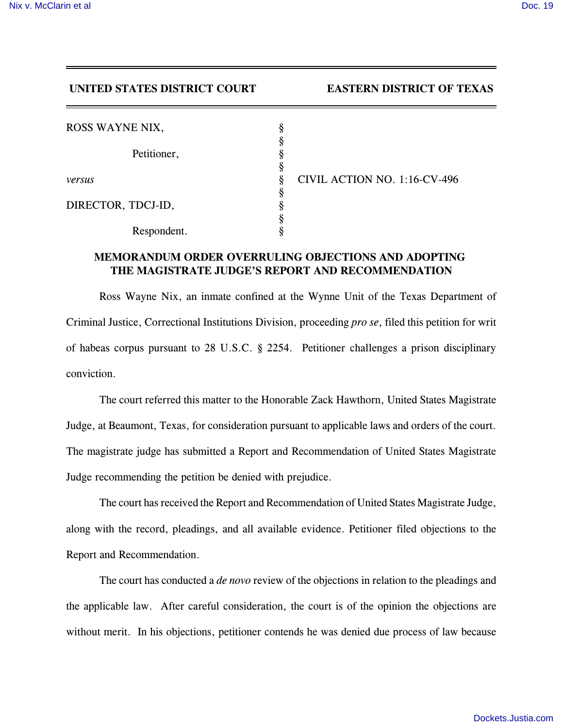## **UNITED STATES DISTRICT COURT EASTERN DISTRICT OF TEXAS**

| ROSS WAYNE NIX,    | §      |
|--------------------|--------|
| Petitioner,        | ş      |
|                    | ş<br>ş |
| versus             | §      |
| DIRECTOR, TDCJ-ID, | §<br>ş |
|                    |        |
| Respondent.        |        |

*versus* § CIVIL ACTION NO. 1:16-CV-496

## **MEMORANDUM ORDER OVERRULING OBJECTIONS AND ADOPTING THE MAGISTRATE JUDGE'S REPORT AND RECOMMENDATION**

Ross Wayne Nix, an inmate confined at the Wynne Unit of the Texas Department of Criminal Justice, Correctional Institutions Division, proceeding *pro se*, filed this petition for writ of habeas corpus pursuant to 28 U.S.C. § 2254. Petitioner challenges a prison disciplinary conviction.

The court referred this matter to the Honorable Zack Hawthorn, United States Magistrate Judge, at Beaumont, Texas, for consideration pursuant to applicable laws and orders of the court. The magistrate judge has submitted a Report and Recommendation of United States Magistrate Judge recommending the petition be denied with prejudice.

The court has received the Report and Recommendation of United States Magistrate Judge, along with the record, pleadings, and all available evidence. Petitioner filed objections to the Report and Recommendation.

The court has conducted a *de novo* review of the objections in relation to the pleadings and the applicable law. After careful consideration, the court is of the opinion the objections are without merit. In his objections, petitioner contends he was denied due process of law because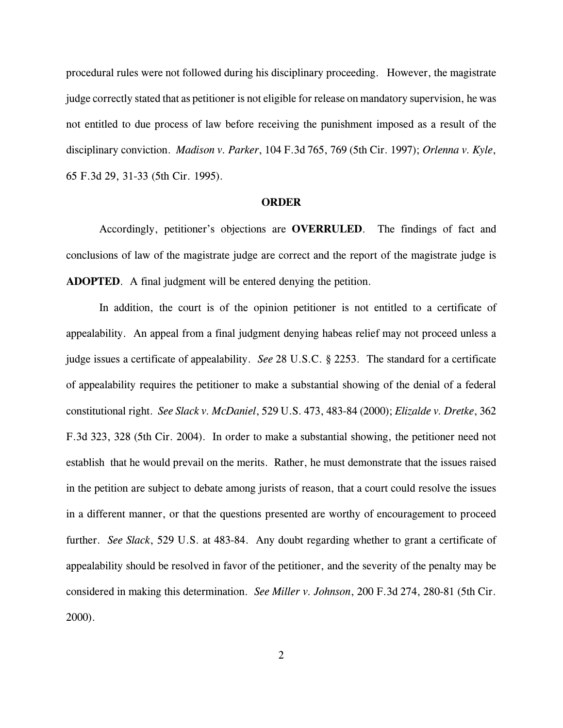procedural rules were not followed during his disciplinary proceeding. However, the magistrate judge correctly stated that as petitioner is not eligible for release on mandatory supervision, he was not entitled to due process of law before receiving the punishment imposed as a result of the disciplinary conviction. *Madison v. Parker*, 104 F.3d 765, 769 (5th Cir. 1997); *Orlenna v. Kyle*, 65 F.3d 29, 31-33 (5th Cir. 1995).

## **ORDER**

Accordingly, petitioner's objections are **OVERRULED**. The findings of fact and conclusions of law of the magistrate judge are correct and the report of the magistrate judge is **ADOPTED**. A final judgment will be entered denying the petition.

In addition, the court is of the opinion petitioner is not entitled to a certificate of appealability. An appeal from a final judgment denying habeas relief may not proceed unless a judge issues a certificate of appealability. *See* 28 U.S.C. § 2253. The standard for a certificate of appealability requires the petitioner to make a substantial showing of the denial of a federal constitutional right. *See Slack v. McDaniel*, 529 U.S. 473, 483-84 (2000); *Elizalde v. Dretke*, 362 F.3d 323, 328 (5th Cir. 2004). In order to make a substantial showing, the petitioner need not establish that he would prevail on the merits. Rather, he must demonstrate that the issues raised in the petition are subject to debate among jurists of reason, that a court could resolve the issues in a different manner, or that the questions presented are worthy of encouragement to proceed further. *See Slack*, 529 U.S. at 483-84. Any doubt regarding whether to grant a certificate of appealability should be resolved in favor of the petitioner, and the severity of the penalty may be considered in making this determination. *See Miller v. Johnson*, 200 F.3d 274, 280-81 (5th Cir. 2000).